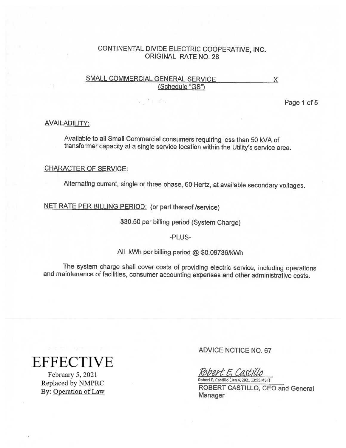## SMALL COMMERCIAL GENERAL SERVICE X (Schedule "GS")

Page 1 of 5

#### AVAILABILITY:

Available to all Small Commercial consumers requiring less than <sup>50</sup> kVA of transformer capacity at <sup>a</sup> single service location within the Utility's service area.

#### CHARACTER OF SERVICE:

Alternating current, single or three <sup>p</sup>hase, <sup>60</sup> Hertz, at available secondary voltages.

NET RATE PER BILLING PERIOD: (or part thereof/service)

\$30.50 per billing period (System Charge)

-PLUS-

All kWh per billing period @ \$0.09736/kWh

The system charge shall cover costs of providing electric service, including operations and maintenance of facilities, consumer accounting expenses and other administrative costs.

# **EFFECTIVE**

February 5, 2021 Replaced by NMPRC By: Operation of Law ADVICE NOTICE NO. 67

rbert E, Castillo Robert E, Castillo (Jan 4,2021 13:55 MST)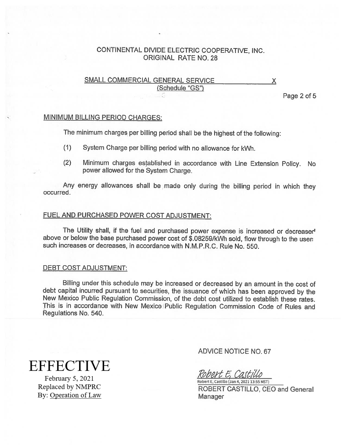# SMALL COMMERCIAL GENERAL SERVICE X (Schedule "GS")

Page 2 of 5

## MINIMUM BILLING PERIOD CHARGES:

The minimum charges per billing period shall be the highest of the following:

- (1) System Charge per billing period with no allowance for kWh.
- (2) Minimum charges established in accordance with Line Extension Policy. No power allowed for the System Charge.

Any energy allowances shall be made only during the billing period in which they occurred.

#### FUEL AND PURCHASED POWER COST ADJUSTMENT:

The Utility shall, if the fuel and purchased power expense is increased or decreased above or below the base purchased power cost of \$.08259/kWh sold, flow through to the user such increases or decreases, in accordance with N.M.P.R.C. Rule No. 550.

#### DEBT COST ADJUSTMENT:

Billing under this schedule may be increased or decreased by an amount in the cost of debt capital incurred pursuant to securities, the issuance of which has been approved by the New Mexico Public Regulation Commission, of the debt cost utilized to establish these rates. This is in accordance with New Mexico Public Regulation Commission Code of Rules and Regulations No. 540.

**EFFECTIVE** 

February 5, 2021 Replaced by NMPRC By: Operation of Law ADVICE NOTICE NO. 67

Robert E, Castillo

Robert E, Castillo (Jan 4,2021 13:55 MST) ROBERT CASTILLO, CEO and General Manager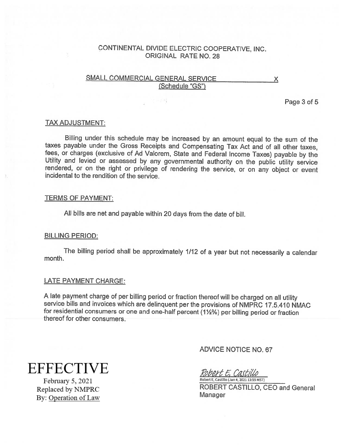## SMALL COMMERCIAL GENERAL SERVICE X (Schedule "GS")

Page 3 of 5

#### TAX ADJUSTMENT:

Billing under this schedule may be increased by an amount equal to the sum of the taxes payable under the Gross Receipts and Compensating Tax Act and of all other taxes, fees, or charges (exclusive of Ad Valorem, State and Federal Income Taxes) payable by the Utility and levied or assessed by any governmental authority on the public utility service rendered, or on the right or privilege of

#### TERMS OF PAYMENT:

All bills are net and payable within <sup>20</sup> days from the date of bill.

#### BILLING PERIOD:

The billing period shall be approximately 1/12 of <sup>a</sup> year but not necessarily <sup>a</sup> calendar month.

#### LATE PAYMENT CHARGE:

A late payment charge of per billing period or fraction thereof will be charged on all utility service bills and invoices which are delinquent per the provisions of NMPRC 17.5.410 NMAC for residential consumers or one and one-half percent (1%%) per billing period or fraction thereof for other consumers.

**EFFECTIVE** 

February 5, 2021 Replaced by NMPRC By: Operation of Law ADVICE NOTICE NO.67

Robert E, Castillo Robert E, Castillo (Jan 4, 2021 13:55 MST)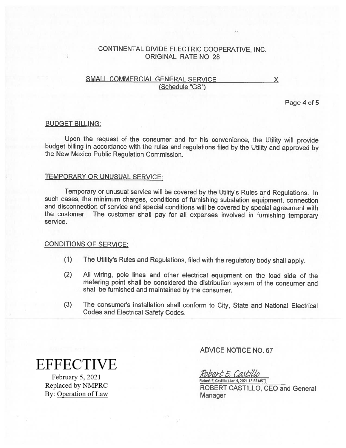## SMALL COMMERCIAL GENERAL SERVICE X (Schedule "GS")

Page 4 of 5

#### BUDGET BILLING:

Upon the request of the consumer and for his convenience, the Utility will provide budget billing in accordance with the rules and regulations filed by the Utility and approved by the New Mexico Public Regulation Commission.

#### TEMPORARY OR UNUSUAL SERVICE:

Temporary or unusual service will be covered by the Utility's Rules and Regulations. In such cases, the minimum charges, conditions of furnishing substation equipment, connection and disconnection of service and special conditions will be covered by special agreement with the customer. The customer shall pay for all expenses involved in furnishing temporary service.

#### CONDITIONS OF SERVICE:

- (1) The Utility's Rules and Regulations, filed with the regulatory body shall apply.
- (2) All wiring, pole lines and other electrical equipment on the load side of the metering point shall be considered the distribution system of the consumer and shall be furnished and maintained by the consumer.
- (3) The consumer's installation shall conform to City, State and National Electrical Codes and Electrical Safety Codes.

**EFFECTIVE** 

February 5, 2021 Replaced by NMPRC By: Operation of Law ADVICE NOTICE NO.67

Robert E. Castillo Robert E, Castillo (Jan 4, 2Q21 13:S5 MST)